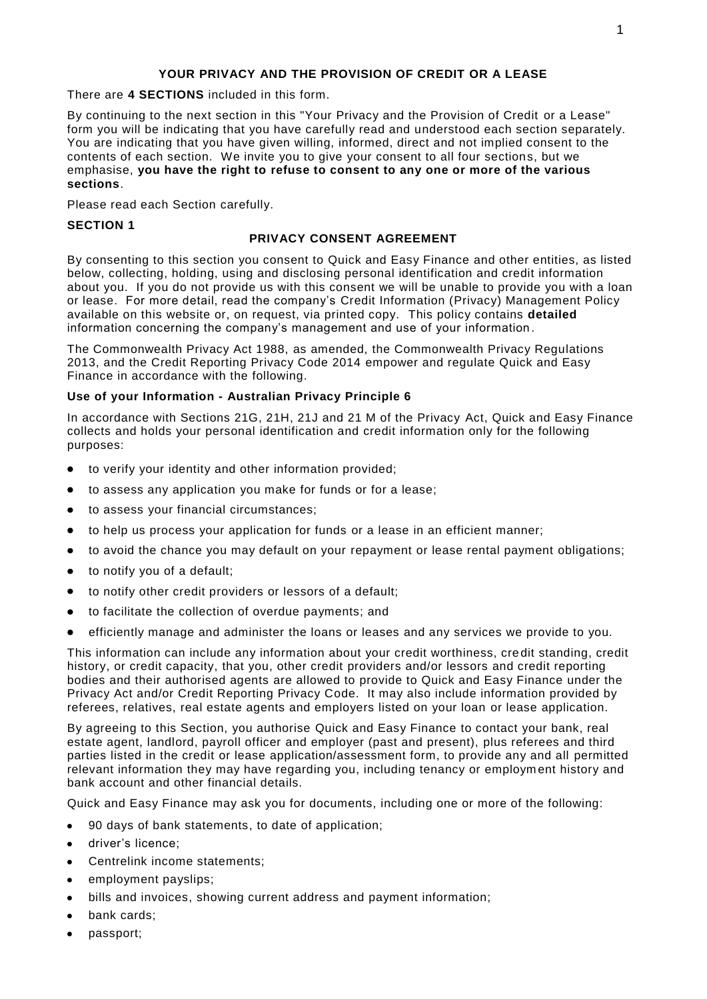## **YOUR PRIVACY AND THE PROVISION OF CREDIT OR A LEASE**

There are **4 SECTIONS** included in this form.

By continuing to the next section in this "Your Privacy and the Provision of Credit or a Lease" form you will be indicating that you have carefully read and understood each section separately. You are indicating that you have given willing, informed, direct and not implied consent to the contents of each section. We invite you to give your consent to all four sections, but we emphasise, **you have the right to refuse to consent to any one or more of the various sections**.

Please read each Section carefully.

#### **SECTION 1**

#### **PRIVACY CONSENT AGREEMENT**

By consenting to this section you consent to Quick and Easy Finance and other entities, as listed below, collecting, holding, using and disclosing personal identification and credit information about you. If you do not provide us with this consent we will be unable to provide you with a loan or lease. For more detail, read the company's Credit Information (Privacy) Management Policy available on this website or, on request, via printed copy. This policy contains **detailed**  information concerning the company's management and use of your information .

The Commonwealth Privacy Act 1988, as amended, the Commonwealth Privacy Regulations 2013, and the Credit Reporting Privacy Code 2014 empower and regulate Quick and Easy Finance in accordance with the following.

## **Use of your Information - Australian Privacy Principle 6**

In accordance with Sections 21G, 21H, 21J and 21 M of the Privacy Act, Quick and Easy Finance collects and holds your personal identification and credit information only for the following purposes:

- to verify your identity and other information provided;
- $\bullet$ to assess any application you make for funds or for a lease;
- to assess your financial circumstances;  $\bullet$
- to help us process your application for funds or a lease in an efficient manner;  $\bullet$
- to avoid the chance you may default on your repayment or lease rental payment obligations;  $\bullet$
- to notify you of a default;
- to notify other credit providers or lessors of a default;
- to facilitate the collection of overdue payments; and
- efficiently manage and administer the loans or leases and any services we provide to you.

This information can include any information about your credit worthiness, cre dit standing, credit history, or credit capacity, that you, other credit providers and/or lessors and credit reporting bodies and their authorised agents are allowed to provide to Quick and Easy Finance under the Privacy Act and/or Credit Reporting Privacy Code. It may also include information provided by referees, relatives, real estate agents and employers listed on your loan or lease application.

By agreeing to this Section, you authorise Quick and Easy Finance to contact your bank, real estate agent, landlord, payroll officer and employer (past and present), plus referees and third parties listed in the credit or lease application/assessment form, to provide any and all permitted relevant information they may have regarding you, including tenancy or employm ent history and bank account and other financial details.

Quick and Easy Finance may ask you for documents, including one or more of the following:

- 90 days of bank statements, to date of application;  $\bullet$
- driver's licence;
- Centrelink income statements;  $\bullet$
- employment payslips;
- bills and invoices, showing current address and payment information;
- bank cards;
- passport;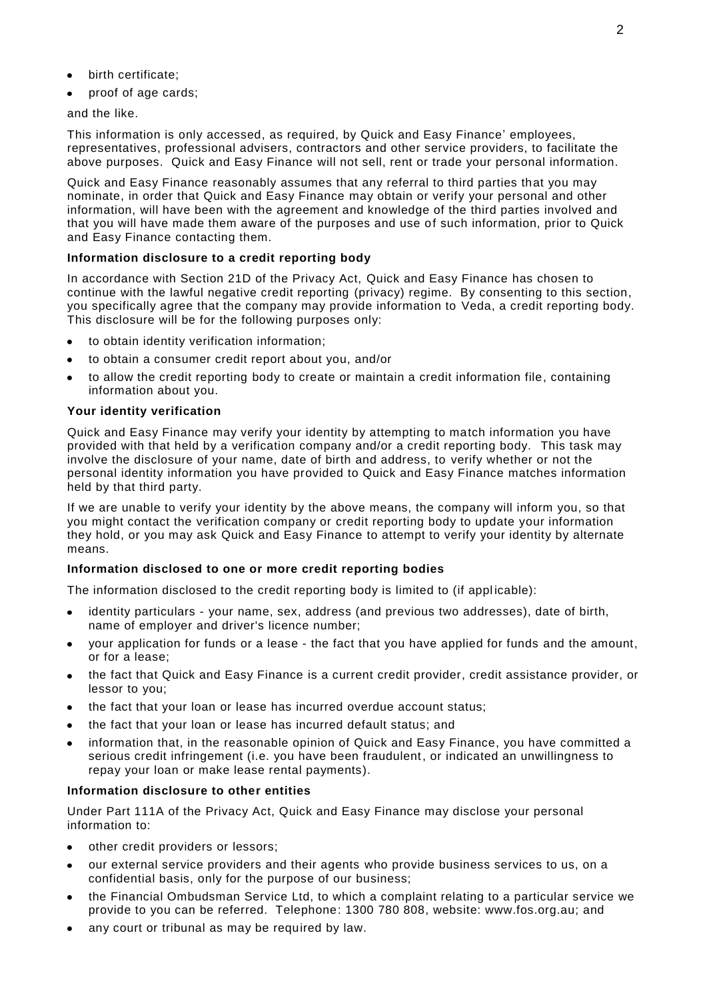- birth certificate;
- proof of age cards;

and the like.

This information is only accessed, as required, by Quick and Easy Finance' employees, representatives, professional advisers, contractors and other service providers, to facilitate the above purposes. Quick and Easy Finance will not sell, rent or trade your personal information.

Quick and Easy Finance reasonably assumes that any referral to third parties that you may nominate, in order that Quick and Easy Finance may obtain or verify your personal and other information, will have been with the agreement and knowledge of the third parties involved and that you will have made them aware of the purposes and use of such information, prior to Quick and Easy Finance contacting them.

## **Information disclosure to a credit reporting body**

In accordance with Section 21D of the Privacy Act, Quick and Easy Finance has chosen to continue with the lawful negative credit reporting (privacy) regime. By consenting to this section, you specifically agree that the company may provide information to Veda, a credit reporting body. This disclosure will be for the following purposes only:

- to obtain identity verification information;
- to obtain a consumer credit report about you, and/or
- to allow the credit reporting body to create or maintain a credit information file, containing information about you.

## **Your identity verification**

Quick and Easy Finance may verify your identity by attempting to match information you have provided with that held by a verification company and/or a credit reporting body. This task may involve the disclosure of your name, date of birth and address, to verify whether or not the personal identity information you have provided to Quick and Easy Finance matches information held by that third party.

If we are unable to verify your identity by the above means, the company will inform you, so that you might contact the verification company or credit reporting body to update your information they hold, or you may ask Quick and Easy Finance to attempt to verify your identity by alternate means.

## **Information disclosed to one or more credit reporting bodies**

The information disclosed to the credit reporting body is limited to (if applicable):

- identity particulars your name, sex, address (and previous two addresses), date of birth, name of employer and driver's licence number;
- your application for funds or a lease the fact that you have applied for funds and the amount, or for a lease;
- the fact that Quick and Easy Finance is a current credit provider, credit assistance provider, or lessor to you;
- the fact that your loan or lease has incurred overdue account status;
- the fact that your loan or lease has incurred default status; and
- information that, in the reasonable opinion of Quick and Easy Finance, you have committed a serious credit infringement (i.e. you have been fraudulent, or indicated an unwillingness to repay your loan or make lease rental payments).

#### **Information disclosure to other entities**

Under Part 111A of the Privacy Act, Quick and Easy Finance may disclose your personal information to:

- other credit providers or lessors;
- our external service providers and their agents who provide business services to us, on a confidential basis, only for the purpose of our business;
- the Financial Ombudsman Service Ltd, to which a complaint relating to a particular service we provide to you can be referred. Telephone: 1300 780 808, website: www.fos.org.au; and
- any court or tribunal as may be required by law.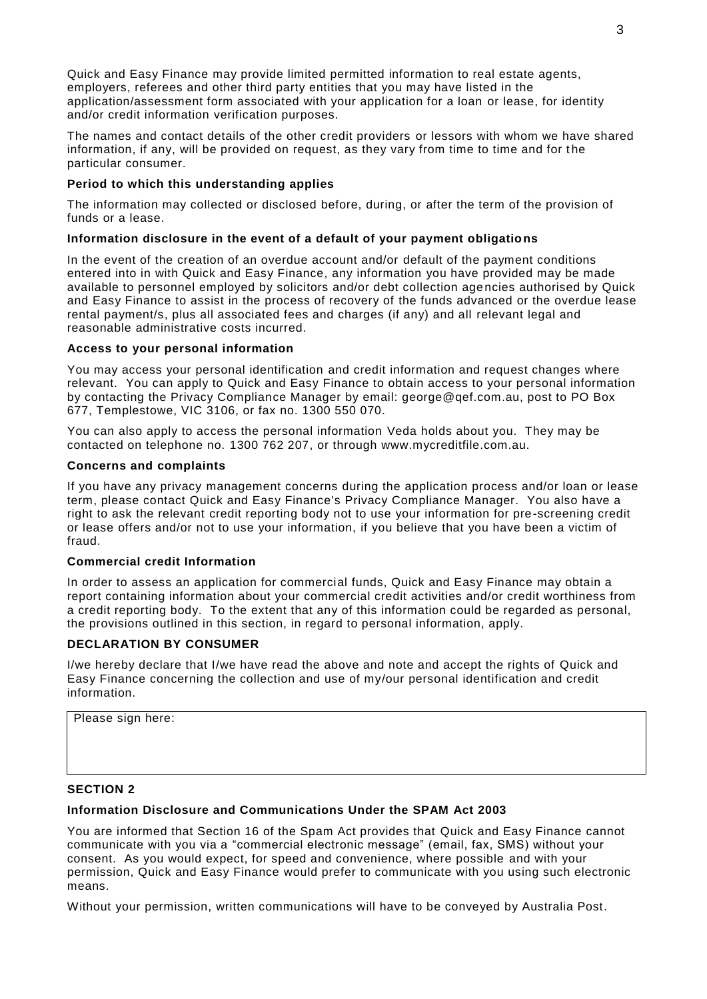Quick and Easy Finance may provide limited permitted information to real estate agents, employers, referees and other third party entities that you may have listed in the application/assessment form associated with your application for a loan or lease, for identity and/or credit information verification purposes.

The names and contact details of the other credit providers or lessors with whom we have shared information, if any, will be provided on request, as they vary from time to time and for t he particular consumer.

## **Period to which this understanding applies**

The information may collected or disclosed before, during, or after the term of the provision of funds or a lease.

## **Information disclosure in the event of a default of your payment obligations**

In the event of the creation of an overdue account and/or default of the payment conditions entered into in with Quick and Easy Finance, any information you have provided may be made available to personnel employed by solicitors and/or debt collection age ncies authorised by Quick and Easy Finance to assist in the process of recovery of the funds advanced or the overdue lease rental payment/s, plus all associated fees and charges (if any) and all relevant legal and reasonable administrative costs incurred.

## **Access to your personal information**

You may access your personal identification and credit information and request changes where relevant. You can apply to Quick and Easy Finance to obtain access to your personal information by contacting the Privacy Compliance Manager by email: george@qef.com.au, post to PO Box 677, Templestowe, VIC 3106, or fax no. 1300 550 070.

You can also apply to access the personal information Veda holds about you. They may be contacted on telephone no. 1300 762 207, or through www.mycreditfile.com.au.

## **Concerns and complaints**

If you have any privacy management concerns during the application process and/or loan or lease term, please contact Quick and Easy Finance's Privacy Compliance Manager. You also have a right to ask the relevant credit reporting body not to use your information for pre-screening credit or lease offers and/or not to use your information, if you believe that you have been a victim of fraud.

## **Commercial credit Information**

In order to assess an application for commercial funds, Quick and Easy Finance may obtain a report containing information about your commercial credit activities and/or credit worthiness from a credit reporting body. To the extent that any of this information could be regarded as personal, the provisions outlined in this section, in regard to personal information, apply.

## **DECLARATION BY CONSUMER**

I/we hereby declare that I/we have read the above and note and accept the rights of Quick and Easy Finance concerning the collection and use of my/our personal identification and credit information.

Please sign here:

## **SECTION 2**

## **Information Disclosure and Communications Under the SPAM Act 2003**

You are informed that Section 16 of the Spam Act provides that Quick and Easy Finance cannot communicate with you via a "commercial electronic message" (email, fax, SMS) without your consent. As you would expect, for speed and convenience, where possible and with your permission, Quick and Easy Finance would prefer to communicate with you using such electronic means.

Without your permission, written communications will have to be conveyed by Australia Post.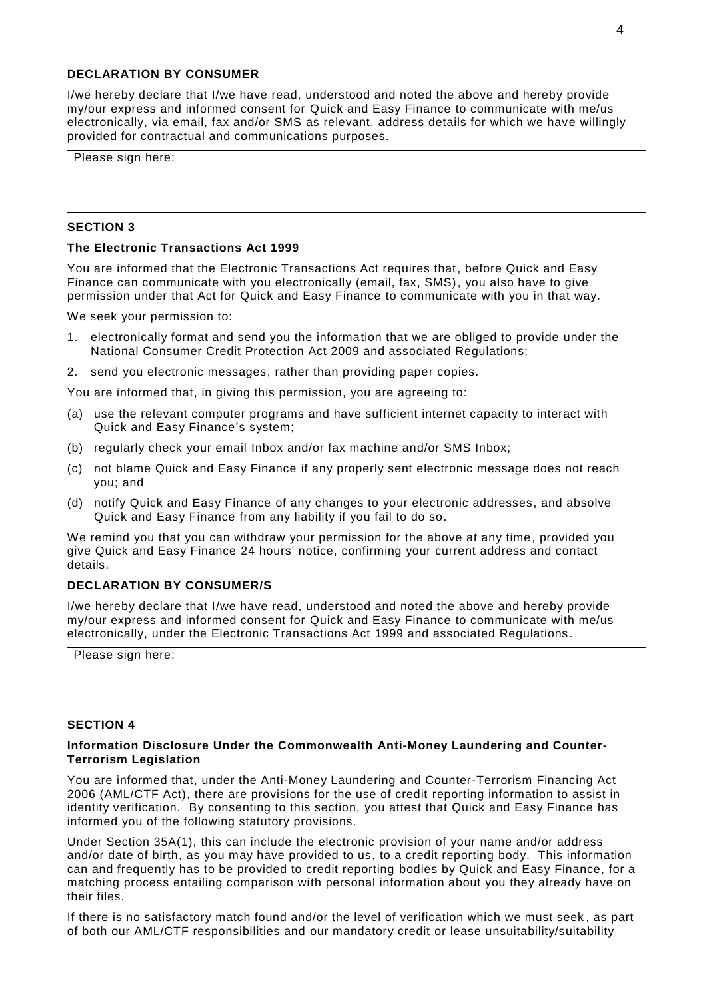#### **DECLARATION BY CONSUMER**

I/we hereby declare that I/we have read, understood and noted the above and hereby provide my/our express and informed consent for Quick and Easy Finance to communicate with me/us electronically, via email, fax and/or SMS as relevant, address details for which we have willingly provided for contractual and communications purposes.

Please sign here:

#### **SECTION 3**

#### **The Electronic Transactions Act 1999**

You are informed that the Electronic Transactions Act requires that, before Quick and Easy Finance can communicate with you electronically (email, fax, SMS), you also have to give permission under that Act for Quick and Easy Finance to communicate with you in that way.

We seek your permission to:

- 1. electronically format and send you the information that we are obliged to provide under the National Consumer Credit Protection Act 2009 and associated Regulations;
- 2. send you electronic messages, rather than providing paper copies.

You are informed that, in giving this permission, you are agreeing to:

- (a) use the relevant computer programs and have sufficient internet capacity to interact with Quick and Easy Finance's system;
- (b) regularly check your email Inbox and/or fax machine and/or SMS Inbox;
- (c) not blame Quick and Easy Finance if any properly sent electronic message does not reach you; and
- (d) notify Quick and Easy Finance of any changes to your electronic addresses, and absolve Quick and Easy Finance from any liability if you fail to do so.

We remind you that you can withdraw your permission for the above at any time, provided you give Quick and Easy Finance 24 hours' notice, confirming your current address and contact details.

#### **DECLARATION BY CONSUMER/S**

I/we hereby declare that I/we have read, understood and noted the above and hereby provide my/our express and informed consent for Quick and Easy Finance to communicate with me/us electronically, under the Electronic Transactions Act 1999 and associated Regulations.

Please sign here:

#### **SECTION 4**

#### **Information Disclosure Under the Commonwealth Anti-Money Laundering and Counter-Terrorism Legislation**

You are informed that, under the Anti-Money Laundering and Counter-Terrorism Financing Act 2006 (AML/CTF Act), there are provisions for the use of credit reporting information to assist in identity verification. By consenting to this section, you attest that Quick and Easy Finance has informed you of the following statutory provisions.

Under Section 35A(1), this can include the electronic provision of your name and/or address and/or date of birth, as you may have provided to us, to a credit reporting body. This information can and frequently has to be provided to credit reporting bodies by Quick and Easy Finance, for a matching process entailing comparison with personal information about you they already have on their files.

If there is no satisfactory match found and/or the level of verification which we must seek , as part of both our AML/CTF responsibilities and our mandatory credit or lease unsuitability/suitability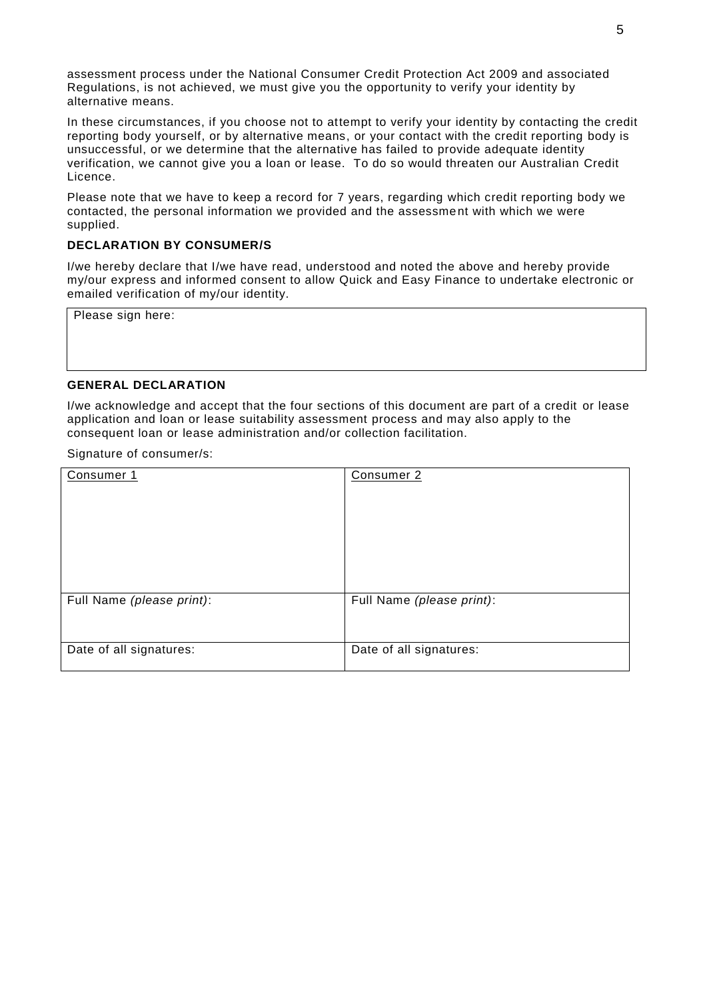assessment process under the National Consumer Credit Protection Act 2009 and associated Regulations, is not achieved, we must give you the opportunity to verify your identity by alternative means.

In these circumstances, if you choose not to attempt to verify your identity by contacting the credit reporting body yourself, or by alternative means, or your contact with the credit reporting body is unsuccessful, or we determine that the alternative has failed to provide adequate identity verification, we cannot give you a loan or lease. To do so would threaten our Australian Credit Licence.

Please note that we have to keep a record for 7 years, regarding which credit reporting body we contacted, the personal information we provided and the assessment with which we were supplied.

## **DECLARATION BY CONSUMER/S**

I/we hereby declare that I/we have read, understood and noted the above and hereby provide my/our express and informed consent to allow Quick and Easy Finance to undertake electronic or emailed verification of my/our identity.

Please sign here:

## **GENERAL DECLARATION**

I/we acknowledge and accept that the four sections of this document are part of a credit or lease application and loan or lease suitability assessment process and may also apply to the consequent loan or lease administration and/or collection facilitation.

Signature of consumer/s:

| Consumer 1                | Consumer 2                |
|---------------------------|---------------------------|
| Full Name (please print): | Full Name (please print): |
| Date of all signatures:   | Date of all signatures:   |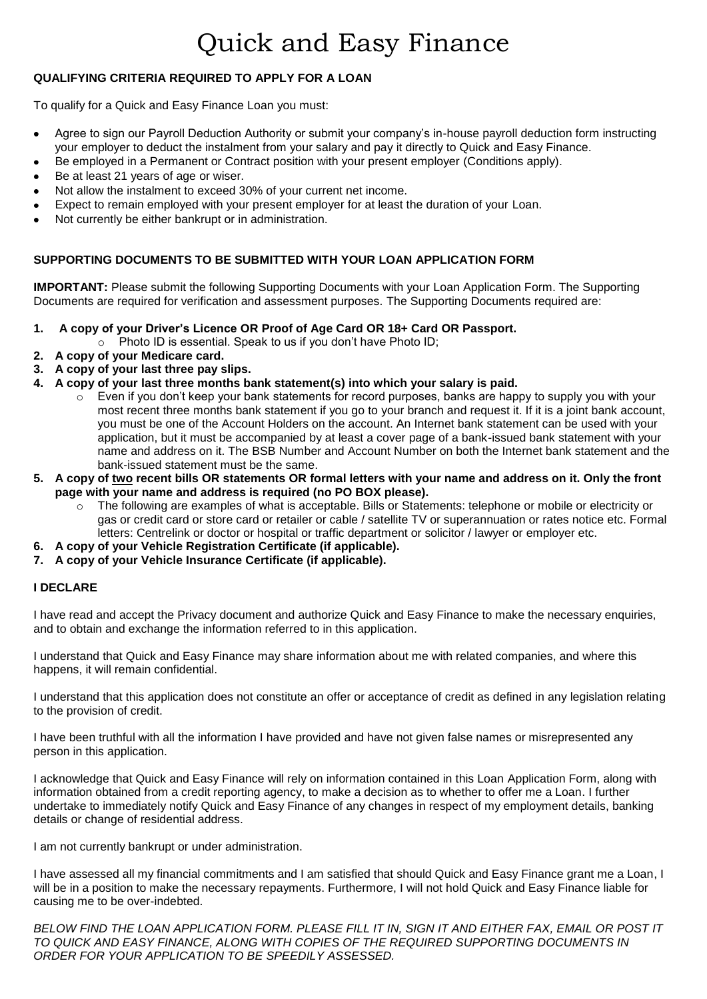# Quick and Easy Finance

## **QUALIFYING CRITERIA REQUIRED TO APPLY FOR A LOAN**

To qualify for a Quick and Easy Finance Loan you must:

- $\bullet$ Agree to sign our Payroll Deduction Authority or submit your company's in-house payroll deduction form instructing your employer to deduct the instalment from your salary and pay it directly to Quick and Easy Finance.
- Be employed in a Permanent or Contract position with your present employer (Conditions apply).  $\bullet$
- Be at least 21 years of age or wiser.
- Not allow the instalment to exceed 30% of your current net income.
- Expect to remain employed with your present employer for at least the duration of your Loan.  $\bullet$
- Not currently be either bankrupt or in administration.

## **SUPPORTING DOCUMENTS TO BE SUBMITTED WITH YOUR LOAN APPLICATION FORM**

**IMPORTANT:** Please submit the following Supporting Documents with your Loan Application Form. The Supporting Documents are required for verification and assessment purposes. The Supporting Documents required are:

#### **1. A copy of your Driver's Licence OR Proof of Age Card OR 18+ Card OR Passport.**

- $\circ$  Photo ID is essential. Speak to us if you don't have Photo ID;
- **2. A copy of your Medicare card.**
- **3. A copy of your last three pay slips.**
- **4. A copy of your last three months bank statement(s) into which your salary is paid.** 
	- $\circ$  Even if you don't keep your bank statements for record purposes, banks are happy to supply you with your most recent three months bank statement if you go to your branch and request it. If it is a joint bank account, you must be one of the Account Holders on the account. An Internet bank statement can be used with your application, but it must be accompanied by at least a cover page of a bank-issued bank statement with your name and address on it. The BSB Number and Account Number on both the Internet bank statement and the bank-issued statement must be the same.
- **5. A copy of two recent bills OR statements OR formal letters with your name and address on it. Only the front page with your name and address is required (no PO BOX please).**
	- o The following are examples of what is acceptable. Bills or Statements: telephone or mobile or electricity or gas or credit card or store card or retailer or cable / satellite TV or superannuation or rates notice etc. Formal letters: Centrelink or doctor or hospital or traffic department or solicitor / lawyer or employer etc.
- **6. A copy of your Vehicle Registration Certificate (if applicable).**
- **7. A copy of your Vehicle Insurance Certificate (if applicable).**

#### **I DECLARE**

I have read and accept the Privacy document and authorize Quick and Easy Finance to make the necessary enquiries, and to obtain and exchange the information referred to in this application.

I understand that Quick and Easy Finance may share information about me with related companies, and where this happens, it will remain confidential.

I understand that this application does not constitute an offer or acceptance of credit as defined in any legislation relating to the provision of credit.

I have been truthful with all the information I have provided and have not given false names or misrepresented any person in this application.

I acknowledge that Quick and Easy Finance will rely on information contained in this Loan Application Form, along with information obtained from a credit reporting agency, to make a decision as to whether to offer me a Loan. I further undertake to immediately notify Quick and Easy Finance of any changes in respect of my employment details, banking details or change of residential address.

I am not currently bankrupt or under administration.

I have assessed all my financial commitments and I am satisfied that should Quick and Easy Finance grant me a Loan, I will be in a position to make the necessary repayments. Furthermore, I will not hold Quick and Easy Finance liable for causing me to be over-indebted.

*BELOW FIND THE LOAN APPLICATION FORM. PLEASE FILL IT IN, SIGN IT AND EITHER FAX, EMAIL OR POST IT TO QUICK AND EASY FINANCE, ALONG WITH COPIES OF THE REQUIRED SUPPORTING DOCUMENTS IN ORDER FOR YOUR APPLICATION TO BE SPEEDILY ASSESSED.*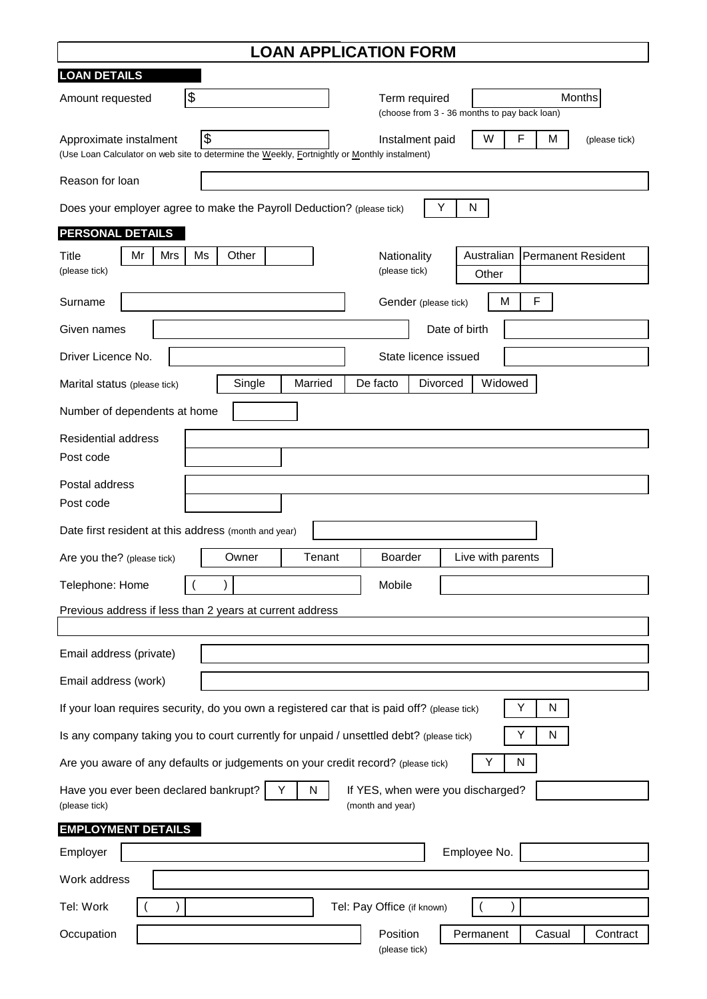| <b>LOAN APPLICATION FORM</b>                                                                                                                                                               |  |  |  |  |
|--------------------------------------------------------------------------------------------------------------------------------------------------------------------------------------------|--|--|--|--|
| <b>LOAN DETAILS</b>                                                                                                                                                                        |  |  |  |  |
| $\frac{1}{2}$<br>Months<br>Term required<br>Amount requested<br>(choose from 3 - 36 months to pay back loan)                                                                               |  |  |  |  |
| $\frac{3}{2}$<br>F<br>W<br>M<br>Approximate instalment<br>Instalment paid<br>(please tick)<br>(Use Loan Calculator on web site to determine the Weekly, Fortnightly or Monthly instalment) |  |  |  |  |
| Reason for loan                                                                                                                                                                            |  |  |  |  |
| Y<br>Does your employer agree to make the Payroll Deduction? (please tick)<br>N                                                                                                            |  |  |  |  |
| PERSONAL DETAILS                                                                                                                                                                           |  |  |  |  |
| Other<br>Australian<br>Mr<br>Mrs<br>Ms<br><b>Permanent Resident</b><br>Title<br>Nationality<br>(please tick)<br>(please tick)<br>Other                                                     |  |  |  |  |
| M<br>F<br>Gender (please tick)<br>Surname                                                                                                                                                  |  |  |  |  |
| Date of birth<br>Given names                                                                                                                                                               |  |  |  |  |
| Driver Licence No.<br>State licence issued                                                                                                                                                 |  |  |  |  |
| Widowed<br>Single<br>Married<br>De facto<br><b>Divorced</b><br>Marital status (please tick)                                                                                                |  |  |  |  |
| Number of dependents at home                                                                                                                                                               |  |  |  |  |
| <b>Residential address</b>                                                                                                                                                                 |  |  |  |  |
| Post code                                                                                                                                                                                  |  |  |  |  |
| Postal address                                                                                                                                                                             |  |  |  |  |
| Post code                                                                                                                                                                                  |  |  |  |  |
| Date first resident at this address (month and year)                                                                                                                                       |  |  |  |  |
| Tenant<br>Owner<br><b>Boarder</b><br>Live with parents<br>Are you the? (please tick)                                                                                                       |  |  |  |  |
| Mobile<br>Telephone: Home                                                                                                                                                                  |  |  |  |  |
| Previous address if less than 2 years at current address                                                                                                                                   |  |  |  |  |
|                                                                                                                                                                                            |  |  |  |  |
| Email address (private)                                                                                                                                                                    |  |  |  |  |
| Email address (work)                                                                                                                                                                       |  |  |  |  |
| Y<br>If your loan requires security, do you own a registered car that is paid off? (please tick)<br>N                                                                                      |  |  |  |  |
| Is any company taking you to court currently for unpaid / unsettled debt? (please tick)<br>Υ<br>N                                                                                          |  |  |  |  |
| Are you aware of any defaults or judgements on your credit record? (please tick)<br>Υ<br>N                                                                                                 |  |  |  |  |
| Have you ever been declared bankrupt?<br>N<br>Y<br>If YES, when were you discharged?<br>(please tick)<br>(month and year)                                                                  |  |  |  |  |
| <b>EMPLOYMENT DETAILS</b>                                                                                                                                                                  |  |  |  |  |
| Employee No.<br>Employer                                                                                                                                                                   |  |  |  |  |
| Work address                                                                                                                                                                               |  |  |  |  |
| Tel: Work<br>Tel: Pay Office (if known)                                                                                                                                                    |  |  |  |  |
| Permanent<br>Casual<br>Contract<br>Position<br>Occupation<br>(please tick)                                                                                                                 |  |  |  |  |